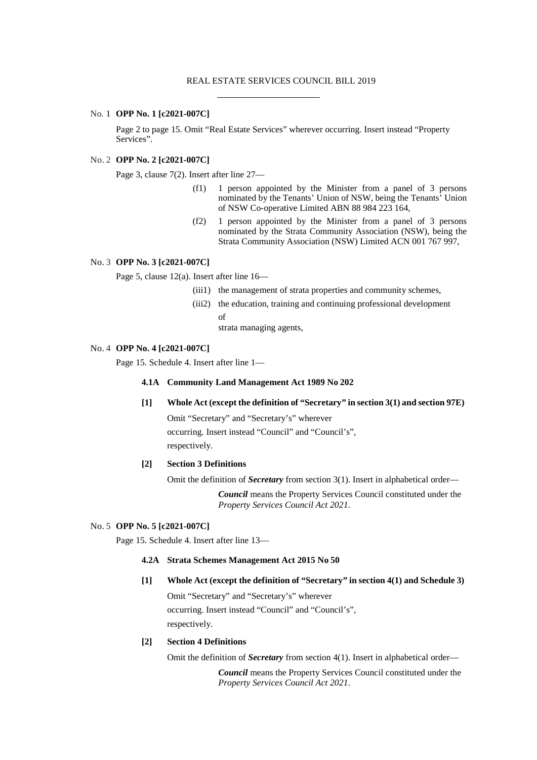## REAL ESTATE SERVICES COUNCIL BILL 2019

## No. 1 **OPP No. 1 [c2021-007C]**

Page 2 to page 15. Omit "Real Estate Services" wherever occurring. Insert instead "Property Services".

# No. 2 **OPP No. 2 [c2021-007C]**

Page 3, clause 7(2). Insert after line 27—

- (f1) 1 person appointed by the Minister from a panel of 3 persons nominated by the Tenants' Union of NSW, being the Tenants' Union of NSW Co-operative Limited ABN 88 984 223 164,
- (f2) 1 person appointed by the Minister from a panel of 3 persons nominated by the Strata Community Association (NSW), being the Strata Community Association (NSW) Limited ACN 001 767 997,

# No. 3 **OPP No. 3 [c2021-007C]**

Page 5, clause 12(a). Insert after line 16—

- (iii1) the management of strata properties and community schemes,
- (iii2) the education, training and continuing professional development of

strata managing agents,

## No. 4 **OPP No. 4 [c2021-007C]**

Page 15. Schedule 4. Insert after line 1—

## **4.1A Community Land Management Act 1989 No 202**

**[1] Whole Act (except the definition of "Secretary" in section 3(1) and section 97E)**

Omit "Secretary" and "Secretary's" wherever occurring. Insert instead "Council" and "Council's", respectively.

# **[2] Section 3 Definitions**

Omit the definition of *Secretary* from section 3(1). Insert in alphabetical order—

*Council* means the Property Services Council constituted under the *Property Services Council Act 2021*.

#### No. 5 **OPP No. 5 [c2021-007C]**

Page 15. Schedule 4. Insert after line 13—

# **4.2A Strata Schemes Management Act 2015 No 50**

# **[1] Whole Act (except the definition of "Secretary" in section 4(1) and Schedule 3)**

Omit "Secretary" and "Secretary's" wherever occurring. Insert instead "Council" and "Council's", respectively.

### **[2] Section 4 Definitions**

Omit the definition of *Secretary* from section 4(1). Insert in alphabetical order—

*Council* means the Property Services Council constituted under the *Property Services Council Act 2021*.